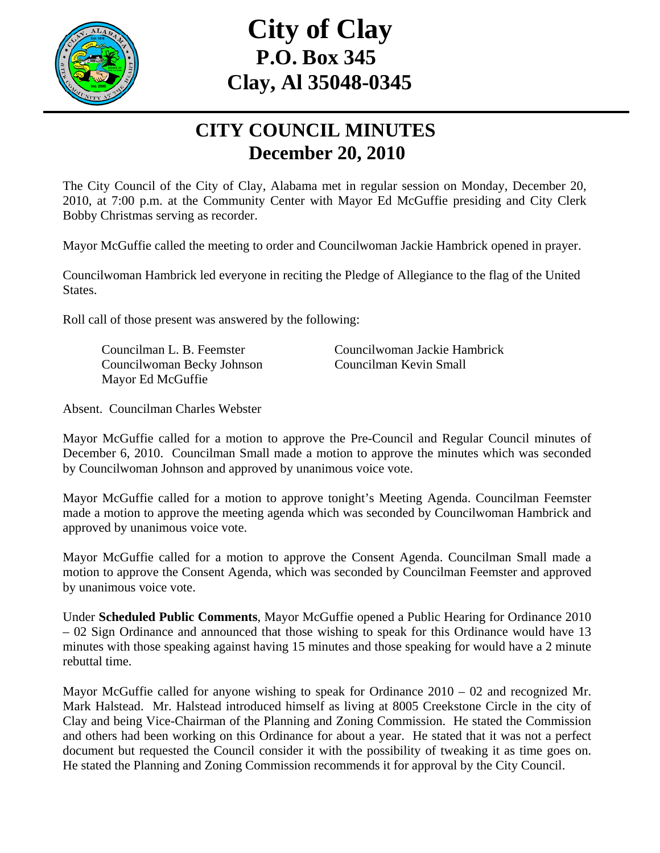

# **City of Clay P.O. Box 345 Clay, Al 35048-0345**

#### **CITY COUNCIL MINUTES December 20, 2010**

The City Council of the City of Clay, Alabama met in regular session on Monday, December 20, 2010, at 7:00 p.m. at the Community Center with Mayor Ed McGuffie presiding and City Clerk Bobby Christmas serving as recorder.

Mayor McGuffie called the meeting to order and Councilwoman Jackie Hambrick opened in prayer.

Councilwoman Hambrick led everyone in reciting the Pledge of Allegiance to the flag of the United States.

Roll call of those present was answered by the following:

 Councilwoman Becky Johnson Councilman Kevin Small Mayor Ed McGuffie

Councilman L. B. Feemster Councilwoman Jackie Hambrick

Absent. Councilman Charles Webster

Mayor McGuffie called for a motion to approve the Pre-Council and Regular Council minutes of December 6, 2010. Councilman Small made a motion to approve the minutes which was seconded by Councilwoman Johnson and approved by unanimous voice vote.

Mayor McGuffie called for a motion to approve tonight's Meeting Agenda. Councilman Feemster made a motion to approve the meeting agenda which was seconded by Councilwoman Hambrick and approved by unanimous voice vote.

Mayor McGuffie called for a motion to approve the Consent Agenda. Councilman Small made a motion to approve the Consent Agenda, which was seconded by Councilman Feemster and approved by unanimous voice vote.

Under **Scheduled Public Comments**, Mayor McGuffie opened a Public Hearing for Ordinance 2010 – 02 Sign Ordinance and announced that those wishing to speak for this Ordinance would have 13 minutes with those speaking against having 15 minutes and those speaking for would have a 2 minute rebuttal time.

Mayor McGuffie called for anyone wishing to speak for Ordinance 2010 – 02 and recognized Mr. Mark Halstead. Mr. Halstead introduced himself as living at 8005 Creekstone Circle in the city of Clay and being Vice-Chairman of the Planning and Zoning Commission. He stated the Commission and others had been working on this Ordinance for about a year. He stated that it was not a perfect document but requested the Council consider it with the possibility of tweaking it as time goes on. He stated the Planning and Zoning Commission recommends it for approval by the City Council.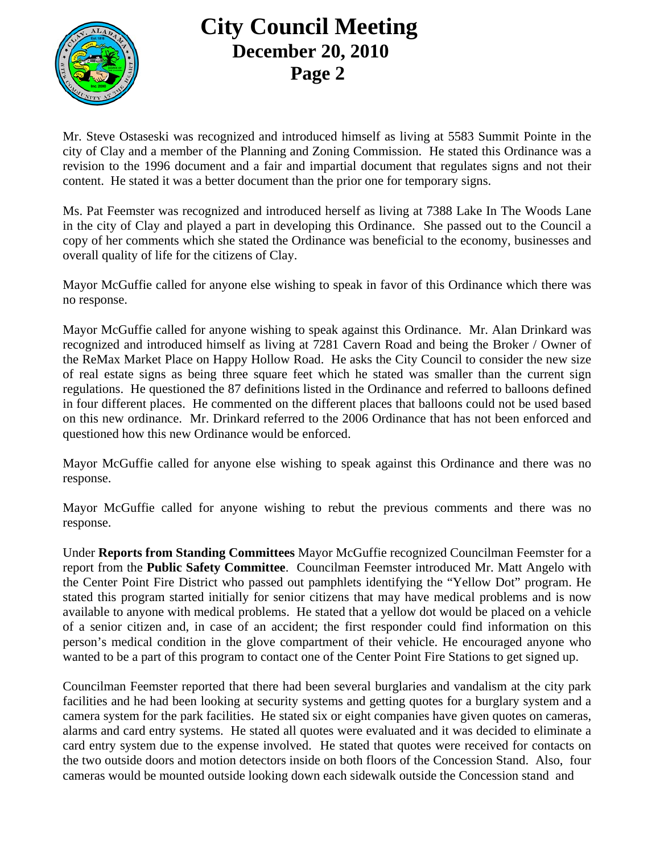

Mr. Steve Ostaseski was recognized and introduced himself as living at 5583 Summit Pointe in the city of Clay and a member of the Planning and Zoning Commission. He stated this Ordinance was a revision to the 1996 document and a fair and impartial document that regulates signs and not their content. He stated it was a better document than the prior one for temporary signs.

Ms. Pat Feemster was recognized and introduced herself as living at 7388 Lake In The Woods Lane in the city of Clay and played a part in developing this Ordinance. She passed out to the Council a copy of her comments which she stated the Ordinance was beneficial to the economy, businesses and overall quality of life for the citizens of Clay.

Mayor McGuffie called for anyone else wishing to speak in favor of this Ordinance which there was no response.

Mayor McGuffie called for anyone wishing to speak against this Ordinance. Mr. Alan Drinkard was recognized and introduced himself as living at 7281 Cavern Road and being the Broker / Owner of the ReMax Market Place on Happy Hollow Road. He asks the City Council to consider the new size of real estate signs as being three square feet which he stated was smaller than the current sign regulations. He questioned the 87 definitions listed in the Ordinance and referred to balloons defined in four different places. He commented on the different places that balloons could not be used based on this new ordinance. Mr. Drinkard referred to the 2006 Ordinance that has not been enforced and questioned how this new Ordinance would be enforced.

Mayor McGuffie called for anyone else wishing to speak against this Ordinance and there was no response.

Mayor McGuffie called for anyone wishing to rebut the previous comments and there was no response.

Under **Reports from Standing Committees** Mayor McGuffie recognized Councilman Feemster for a report from the **Public Safety Committee**. Councilman Feemster introduced Mr. Matt Angelo with the Center Point Fire District who passed out pamphlets identifying the "Yellow Dot" program. He stated this program started initially for senior citizens that may have medical problems and is now available to anyone with medical problems. He stated that a yellow dot would be placed on a vehicle of a senior citizen and, in case of an accident; the first responder could find information on this person's medical condition in the glove compartment of their vehicle. He encouraged anyone who wanted to be a part of this program to contact one of the Center Point Fire Stations to get signed up.

Councilman Feemster reported that there had been several burglaries and vandalism at the city park facilities and he had been looking at security systems and getting quotes for a burglary system and a camera system for the park facilities. He stated six or eight companies have given quotes on cameras, alarms and card entry systems. He stated all quotes were evaluated and it was decided to eliminate a card entry system due to the expense involved. He stated that quotes were received for contacts on the two outside doors and motion detectors inside on both floors of the Concession Stand. Also, four cameras would be mounted outside looking down each sidewalk outside the Concession stand and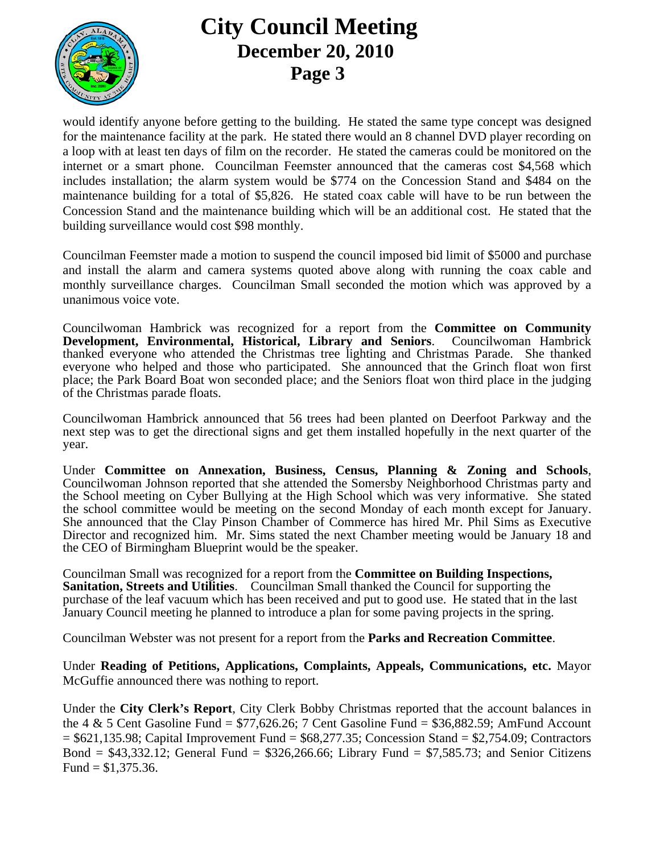

would identify anyone before getting to the building. He stated the same type concept was designed for the maintenance facility at the park. He stated there would an 8 channel DVD player recording on a loop with at least ten days of film on the recorder. He stated the cameras could be monitored on the internet or a smart phone. Councilman Feemster announced that the cameras cost \$4,568 which includes installation; the alarm system would be \$774 on the Concession Stand and \$484 on the maintenance building for a total of \$5,826. He stated coax cable will have to be run between the Concession Stand and the maintenance building which will be an additional cost. He stated that the building surveillance would cost \$98 monthly.

Councilman Feemster made a motion to suspend the council imposed bid limit of \$5000 and purchase and install the alarm and camera systems quoted above along with running the coax cable and monthly surveillance charges. Councilman Small seconded the motion which was approved by a unanimous voice vote.

Councilwoman Hambrick was recognized for a report from the **Committee on Community Development, Environmental, Historical, Library and Seniors**. Councilwoman Hambrick thanked everyone who attended the Christmas tree lighting and Christmas Parade. She thanked everyone who helped and those who participated. She announced that the Grinch float won first place; the Park Board Boat won seconded place; and the Seniors float won third place in the judging of the Christmas parade floats.

Councilwoman Hambrick announced that 56 trees had been planted on Deerfoot Parkway and the next step was to get the directional signs and get them installed hopefully in the next quarter of the year.

Under **Committee on Annexation, Business, Census, Planning & Zoning and Schools**, Councilwoman Johnson reported that she attended the Somersby Neighborhood Christmas party and the School meeting on Cyber Bullying at the High School which was very informative. She stated the school committee would be meeting on the second Monday of each month except for January. She announced that the Clay Pinson Chamber of Commerce has hired Mr. Phil Sims as Executive Director and recognized him. Mr. Sims stated the next Chamber meeting would be January 18 and the CEO of Birmingham Blueprint would be the speaker.

Councilman Small was recognized for a report from the **Committee on Building Inspections, Sanitation, Streets and Utilities**. Councilman Small thanked the Council for supporting the purchase of the leaf vacuum which has been received and put to good use. He stated that in the last January Council meeting he planned to introduce a plan for some paving projects in the spring.

Councilman Webster was not present for a report from the **Parks and Recreation Committee**.

Under **Reading of Petitions, Applications, Complaints, Appeals, Communications, etc.** Mayor McGuffie announced there was nothing to report.

Under the **City Clerk's Report**, City Clerk Bobby Christmas reported that the account balances in the 4  $\&$  5 Cent Gasoline Fund = \$77,626.26; 7 Cent Gasoline Fund = \$36,882.59; AmFund Account  $= $621,135.98$ ; Capital Improvement Fund  $= $68,277.35$ ; Concession Stand  $= $2,754.09$ ; Contractors Bond =  $$43,332.12$ ; General Fund =  $$326,266.66$ ; Library Fund =  $$7,585.73$ ; and Senior Citizens Fund =  $$1,375.36$ .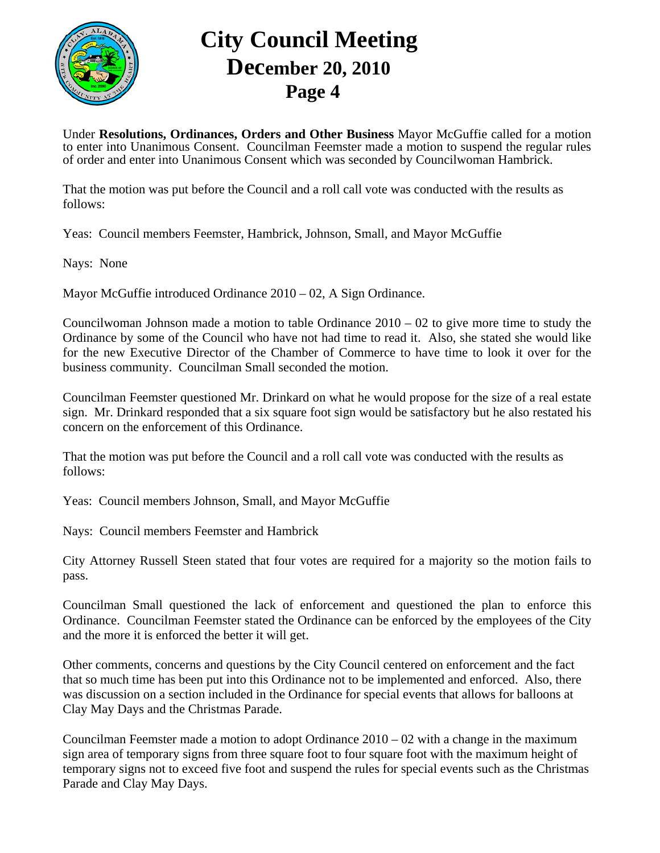

Under **Resolutions, Ordinances, Orders and Other Business** Mayor McGuffie called for a motion to enter into Unanimous Consent. Councilman Feemster made a motion to suspend the regular rules of order and enter into Unanimous Consent which was seconded by Councilwoman Hambrick.

That the motion was put before the Council and a roll call vote was conducted with the results as follows:

Yeas: Council members Feemster, Hambrick, Johnson, Small, and Mayor McGuffie

Nays: None

Mayor McGuffie introduced Ordinance 2010 – 02, A Sign Ordinance.

Councilwoman Johnson made a motion to table Ordinance  $2010 - 02$  to give more time to study the Ordinance by some of the Council who have not had time to read it. Also, she stated she would like for the new Executive Director of the Chamber of Commerce to have time to look it over for the business community. Councilman Small seconded the motion.

Councilman Feemster questioned Mr. Drinkard on what he would propose for the size of a real estate sign. Mr. Drinkard responded that a six square foot sign would be satisfactory but he also restated his concern on the enforcement of this Ordinance.

That the motion was put before the Council and a roll call vote was conducted with the results as follows:

Yeas: Council members Johnson, Small, and Mayor McGuffie

Nays: Council members Feemster and Hambrick

City Attorney Russell Steen stated that four votes are required for a majority so the motion fails to pass.

Councilman Small questioned the lack of enforcement and questioned the plan to enforce this Ordinance. Councilman Feemster stated the Ordinance can be enforced by the employees of the City and the more it is enforced the better it will get.

Other comments, concerns and questions by the City Council centered on enforcement and the fact that so much time has been put into this Ordinance not to be implemented and enforced. Also, there was discussion on a section included in the Ordinance for special events that allows for balloons at Clay May Days and the Christmas Parade.

Councilman Feemster made a motion to adopt Ordinance  $2010 - 02$  with a change in the maximum sign area of temporary signs from three square foot to four square foot with the maximum height of temporary signs not to exceed five foot and suspend the rules for special events such as the Christmas Parade and Clay May Days.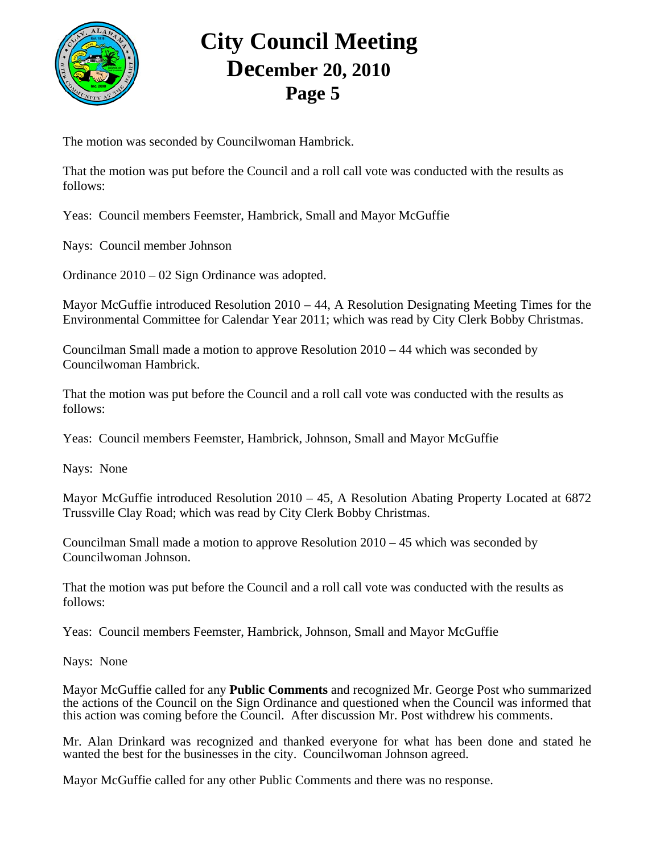

The motion was seconded by Councilwoman Hambrick.

That the motion was put before the Council and a roll call vote was conducted with the results as follows:

Yeas: Council members Feemster, Hambrick, Small and Mayor McGuffie

Nays: Council member Johnson

Ordinance 2010 – 02 Sign Ordinance was adopted.

Mayor McGuffie introduced Resolution  $2010 - 44$ , A Resolution Designating Meeting Times for the Environmental Committee for Calendar Year 2011; which was read by City Clerk Bobby Christmas.

Councilman Small made a motion to approve Resolution 2010 – 44 which was seconded by Councilwoman Hambrick.

That the motion was put before the Council and a roll call vote was conducted with the results as follows:

Yeas: Council members Feemster, Hambrick, Johnson, Small and Mayor McGuffie

Nays: None

Mayor McGuffie introduced Resolution  $2010 - 45$ , A Resolution Abating Property Located at 6872 Trussville Clay Road; which was read by City Clerk Bobby Christmas.

Councilman Small made a motion to approve Resolution 2010 – 45 which was seconded by Councilwoman Johnson.

That the motion was put before the Council and a roll call vote was conducted with the results as follows:

Yeas: Council members Feemster, Hambrick, Johnson, Small and Mayor McGuffie

Nays: None

Mayor McGuffie called for any **Public Comments** and recognized Mr. George Post who summarized the actions of the Council on the Sign Ordinance and questioned when the Council was informed that this action was coming before the Council. After discussion Mr. Post withdrew his comments.

Mr. Alan Drinkard was recognized and thanked everyone for what has been done and stated he wanted the best for the businesses in the city. Councilwoman Johnson agreed.

Mayor McGuffie called for any other Public Comments and there was no response.